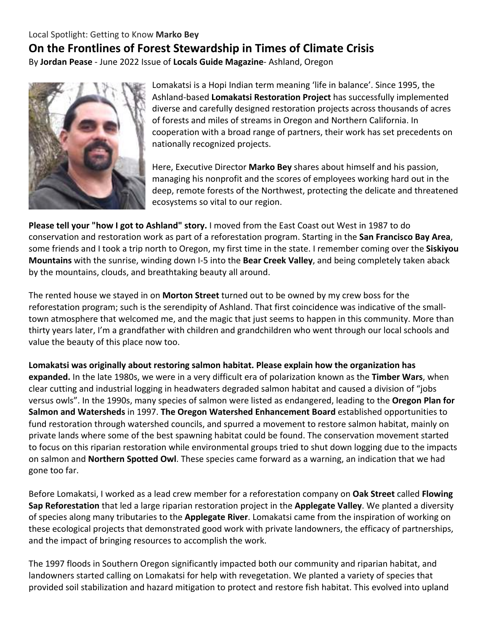## Local Spotlight: Getting to Know **Marko Bey On the Frontlines of Forest Stewardship in Times of Climate Crisis** By **Jordan Pease** - June 2022 Issue of **Locals Guide Magazine**- Ashland, Oregon



Lomakatsi is a Hopi Indian term meaning 'life in balance'. Since 1995, the Ashland-based **Lomakatsi Restoration Project** has successfully implemented diverse and carefully designed restoration projects across thousands of acres of forests and miles of streams in Oregon and Northern California. In cooperation with a broad range of partners, their work has set precedents on nationally recognized projects.

Here, Executive Director **Marko Bey** shares about himself and his passion, managing his nonprofit and the scores of employees working hard out in the deep, remote forests of the Northwest, protecting the delicate and threatened ecosystems so vital to our region.

**Please tell your "how I got to Ashland" story.** I moved from the East Coast out West in 1987 to do conservation and restoration work as part of a reforestation program. Starting in the **San Francisco Bay Area**, some friends and I took a trip north to Oregon, my first time in the state. I remember coming over the **Siskiyou Mountains** with the sunrise, winding down I-5 into the **Bear Creek Valley**, and being completely taken aback by the mountains, clouds, and breathtaking beauty all around.

The rented house we stayed in on **Morton Street** turned out to be owned by my crew boss for the reforestation program; such is the serendipity of Ashland. That first coincidence was indicative of the smalltown atmosphere that welcomed me, and the magic that just seems to happen in this community. More than thirty years later, I'm a grandfather with children and grandchildren who went through our local schools and value the beauty of this place now too.

**Lomakatsi was originally about restoring salmon habitat. Please explain how the organization has expanded.** In the late 1980s, we were in a very difficult era of polarization known as the **Timber Wars**, when clear cutting and industrial logging in headwaters degraded salmon habitat and caused a division of "jobs versus owls". In the 1990s, many species of salmon were listed as endangered, leading to the **Oregon Plan for Salmon and Watersheds** in 1997. **The Oregon Watershed Enhancement Board** established opportunities to fund restoration through watershed councils, and spurred a movement to restore salmon habitat, mainly on private lands where some of the best spawning habitat could be found. The conservation movement started to focus on this riparian restoration while environmental groups tried to shut down logging due to the impacts on salmon and **Northern Spotted Owl**. These species came forward as a warning, an indication that we had gone too far.

Before Lomakatsi, I worked as a lead crew member for a reforestation company on **Oak Street** called **Flowing Sap Reforestation** that led a large riparian restoration project in the **Applegate Valley**. We planted a diversity of species along many tributaries to the **Applegate River**. Lomakatsi came from the inspiration of working on these ecological projects that demonstrated good work with private landowners, the efficacy of partnerships, and the impact of bringing resources to accomplish the work.

The 1997 floods in Southern Oregon significantly impacted both our community and riparian habitat, and landowners started calling on Lomakatsi for help with revegetation. We planted a variety of species that provided soil stabilization and hazard mitigation to protect and restore fish habitat. This evolved into upland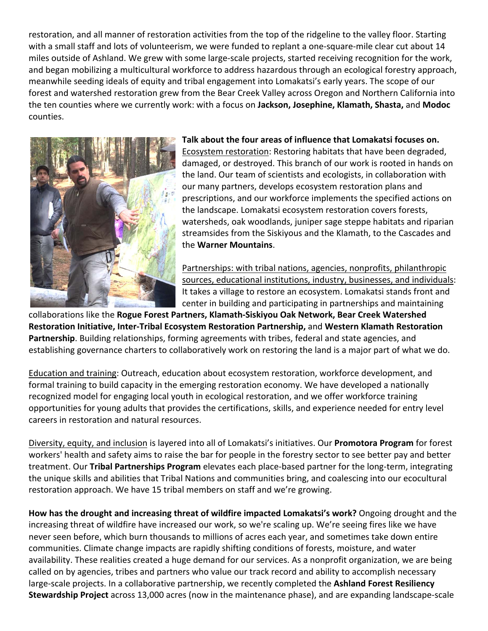restoration, and all manner of restoration activities from the top of the ridgeline to the valley floor. Starting with a small staff and lots of volunteerism, we were funded to replant a one-square-mile clear cut about 14 miles outside of Ashland. We grew with some large-scale projects, started receiving recognition for the work, and began mobilizing a multicultural workforce to address hazardous through an ecological forestry approach, meanwhile seeding ideals of equity and tribal engagement into Lomakatsi's early years. The scope of our forest and watershed restoration grew from the Bear Creek Valley across Oregon and Northern California into the ten counties where we currently work: with a focus on **Jackson, Josephine, Klamath, Shasta,** and **Modoc** counties.



## **Talk about the four areas of influence that Lomakatsi focuses on.**

Ecosystem restoration: Restoring habitats that have been degraded, damaged, or destroyed. This branch of our work is rooted in hands on the land. Our team of scientists and ecologists, in collaboration with our many partners, develops ecosystem restoration plans and prescriptions, and our workforce implements the specified actions on the landscape. Lomakatsi ecosystem restoration covers forests, watersheds, oak woodlands, juniper sage steppe habitats and riparian streamsides from the Siskiyous and the Klamath, to the Cascades and the **Warner Mountains**.

Partnerships: with tribal nations, agencies, nonprofits, philanthropic sources, educational institutions, industry, businesses, and individuals: It takes a village to restore an ecosystem. Lomakatsi stands front and center in building and participating in partnerships and maintaining

collaborations like the **Rogue Forest Partners, Klamath-Siskiyou Oak Network, Bear Creek Watershed Restoration Initiative, Inter-Tribal Ecosystem Restoration Partnership,** and **Western Klamath Restoration Partnership**. Building relationships, forming agreements with tribes, federal and state agencies, and establishing governance charters to collaboratively work on restoring the land is a major part of what we do.

Education and training: Outreach, education about ecosystem restoration, workforce development, and formal training to build capacity in the emerging restoration economy. We have developed a nationally recognized model for engaging local youth in ecological restoration, and we offer workforce training opportunities for young adults that provides the certifications, skills, and experience needed for entry level careers in restoration and natural resources.

Diversity, equity, and inclusion is layered into all of Lomakatsi's initiatives. Our **Promotora Program** for forest workers' health and safety aims to raise the bar for people in the forestry sector to see better pay and better treatment. Our **Tribal Partnerships Program** elevates each place-based partner for the long-term, integrating the unique skills and abilities that Tribal Nations and communities bring, and coalescing into our ecocultural restoration approach. We have 15 tribal members on staff and we're growing.

**How has the drought and increasing threat of wildfire impacted Lomakatsi's work?** Ongoing drought and the increasing threat of wildfire have increased our work, so we're scaling up. We're seeing fires like we have never seen before, which burn thousands to millions of acres each year, and sometimes take down entire communities. Climate change impacts are rapidly shifting conditions of forests, moisture, and water availability. These realities created a huge demand for our services. As a nonprofit organization, we are being called on by agencies, tribes and partners who value our track record and ability to accomplish necessary large-scale projects. In a collaborative partnership, we recently completed the **Ashland Forest Resiliency Stewardship Project** across 13,000 acres (now in the maintenance phase), and are expanding landscape-scale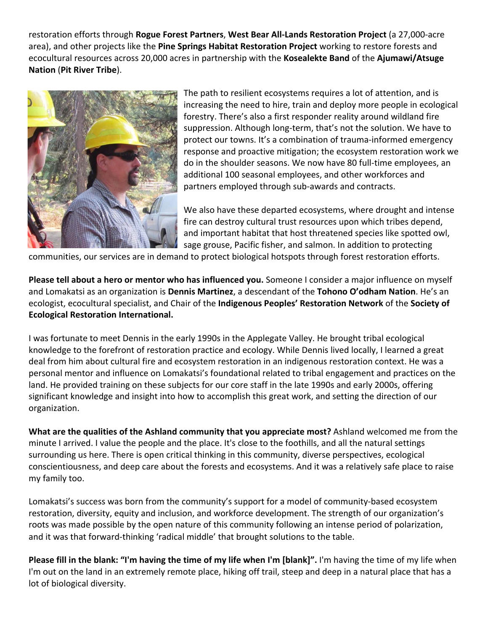restoration efforts through **Rogue Forest Partners**, **West Bear All-Lands Restoration Project** (a 27,000-acre area), and other projects like the **Pine Springs Habitat Restoration Project** working to restore forests and ecocultural resources across 20,000 acres in partnership with the **Kosealekte Band** of the **Ajumawi/Atsuge Nation** (**Pit River Tribe**).



The path to resilient ecosystems requires a lot of attention, and is increasing the need to hire, train and deploy more people in ecological forestry. There's also a first responder reality around wildland fire suppression. Although long-term, that's not the solution. We have to protect our towns. It's a combination of trauma-informed emergency response and proactive mitigation; the ecosystem restoration work we do in the shoulder seasons. We now have 80 full-time employees, an additional 100 seasonal employees, and other workforces and partners employed through sub-awards and contracts.

We also have these departed ecosystems, where drought and intense fire can destroy cultural trust resources upon which tribes depend, and important habitat that host threatened species like spotted owl, sage grouse, Pacific fisher, and salmon. In addition to protecting

communities, our services are in demand to protect biological hotspots through forest restoration efforts.

**Please tell about a hero or mentor who has influenced you.** Someone I consider a major influence on myself and Lomakatsi as an organization is **Dennis Martinez**, a descendant of the **Tohono O'odham Nation**. He's an ecologist, ecocultural specialist, and Chair of the **Indigenous Peoples' Restoration Network** of the **Society of Ecological Restoration International.** 

I was fortunate to meet Dennis in the early 1990s in the Applegate Valley. He brought tribal ecological knowledge to the forefront of restoration practice and ecology. While Dennis lived locally, I learned a great deal from him about cultural fire and ecosystem restoration in an indigenous restoration context. He was a personal mentor and influence on Lomakatsi's foundational related to tribal engagement and practices on the land. He provided training on these subjects for our core staff in the late 1990s and early 2000s, offering significant knowledge and insight into how to accomplish this great work, and setting the direction of our organization.

**What are the qualities of the Ashland community that you appreciate most?** Ashland welcomed me from the minute I arrived. I value the people and the place. It's close to the foothills, and all the natural settings surrounding us here. There is open critical thinking in this community, diverse perspectives, ecological conscientiousness, and deep care about the forests and ecosystems. And it was a relatively safe place to raise my family too.

Lomakatsi's success was born from the community's support for a model of community-based ecosystem restoration, diversity, equity and inclusion, and workforce development. The strength of our organization's roots was made possible by the open nature of this community following an intense period of polarization, and it was that forward-thinking 'radical middle' that brought solutions to the table.

**Please fill in the blank: "I'm having the time of my life when I'm [blank]".** I'm having the time of my life when I'm out on the land in an extremely remote place, hiking off trail, steep and deep in a natural place that has a lot of biological diversity.